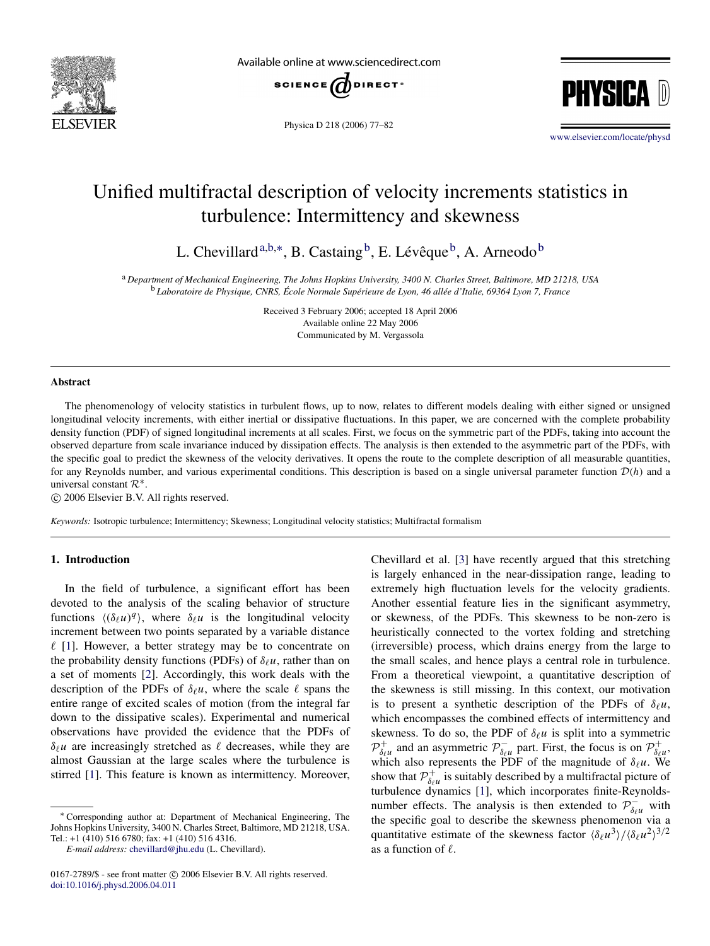

Available online at www.sciencedirect.com



Physica D 218 (2006) 77–82



[www.elsevier.com/locate/physd](http://www.elsevier.com/locate/physd)

# Unified multifractal description of velocity increments statistics in turbulence: Intermittency and skewness

L. Chevillard<sup>[a,](#page-0-0)[b,](#page-0-1)\*</sup>, B. Castaing<sup>[b](#page-0-1)</sup>, E. Lévêque<sup>b</sup>, A. Arneodo<sup>b</sup>

<span id="page-0-1"></span><span id="page-0-0"></span><sup>a</sup> *Department of Mechanical Engineering, The Johns Hopkins University, 3400 N. Charles Street, Baltimore, MD 21218, USA* <sup>b</sup> Laboratoire de Physique, CNRS, École Normale Supérieure de Lyon, 46 allée d'Italie, 69364 Lyon 7, France

> Received 3 February 2006; accepted 18 April 2006 Available online 22 May 2006 Communicated by M. Vergassola

#### Abstract

The phenomenology of velocity statistics in turbulent flows, up to now, relates to different models dealing with either signed or unsigned longitudinal velocity increments, with either inertial or dissipative fluctuations. In this paper, we are concerned with the complete probability density function (PDF) of signed longitudinal increments at all scales. First, we focus on the symmetric part of the PDFs, taking into account the observed departure from scale invariance induced by dissipation effects. The analysis is then extended to the asymmetric part of the PDFs, with the specific goal to predict the skewness of the velocity derivatives. It opens the route to the complete description of all measurable quantities, for any Reynolds number, and various experimental conditions. This description is based on a single universal parameter function  $\mathcal{D}(h)$  and a universal constant  $\mathcal{R}^*$ .

c 2006 Elsevier B.V. All rights reserved.

*Keywords:* Isotropic turbulence; Intermittency; Skewness; Longitudinal velocity statistics; Multifractal formalism

## 1. Introduction

In the field of turbulence, a significant effort has been devoted to the analysis of the scaling behavior of structure functions  $\langle (\delta_\ell u)^q \rangle$ , where  $\delta_\ell u$  is the longitudinal velocity increment between two points separated by a variable distance  $\ell$  [\[1\]](#page-5-0). However, a better strategy may be to concentrate on the probability density functions (PDFs) of  $\delta_\ell u$ , rather than on a set of moments [\[2\]](#page-5-1). Accordingly, this work deals with the description of the PDFs of  $\delta_\ell u$ , where the scale  $\ell$  spans the entire range of excited scales of motion (from the integral far down to the dissipative scales). Experimental and numerical observations have provided the evidence that the PDFs of  $\delta_\ell u$  are increasingly stretched as  $\ell$  decreases, while they are almost Gaussian at the large scales where the turbulence is stirred [\[1\]](#page-5-0). This feature is known as intermittency. Moreover,

<span id="page-0-2"></span><sup>∗</sup> Corresponding author at: Department of Mechanical Engineering, The Johns Hopkins University, 3400 N. Charles Street, Baltimore, MD 21218, USA. Tel.: +1 (410) 516 6780; fax: +1 (410) 516 4316.

*E-mail address:* [chevillard@jhu.edu](mailto:chevillard@jhu.edu) (L. Chevillard).

Chevillard et al. [\[3\]](#page-5-2) have recently argued that this stretching is largely enhanced in the near-dissipation range, leading to extremely high fluctuation levels for the velocity gradients. Another essential feature lies in the significant asymmetry, or skewness, of the PDFs. This skewness to be non-zero is heuristically connected to the vortex folding and stretching (irreversible) process, which drains energy from the large to the small scales, and hence plays a central role in turbulence. From a theoretical viewpoint, a quantitative description of the skewness is still missing. In this context, our motivation is to present a synthetic description of the PDFs of  $\delta_\ell u$ , which encompasses the combined effects of intermittency and skewness. To do so, the PDF of  $\delta_\ell u$  is split into a symmetric  $\mathcal{P}_{\delta}^+$  $\delta_{\ell}^{\dagger}$  and an asymmetric  $\mathcal{P}_{\delta_{\ell}}^ \sum_{\delta_{\ell} u}^{\infty}$  part. First, the focus is on  $\mathcal{P}^+_{\delta_{\ell}}$ δ`*u* , which also represents the PDF of the magnitude of  $\delta_\ell u$ . We show that  $\mathcal{P}_{\delta_{\ell}}^{+}$  $\delta_{\ell}^{\dagger}$  is suitably described by a multifractal picture of turbulence dynamics [\[1\]](#page-5-0), which incorporates finite-Reynoldsnumber effects. The analysis is then extended to  $\overline{P}_{\delta_{\ell}u}^-$  with the specific goal to describe the skewness phenomenon via a quantitative estimate of the skewness factor  $\langle \delta_\ell u^3 \rangle / \langle \delta_\ell u^2 \rangle^{3/2}$ as a function of  $\ell$ .

 $0167-2789$ /\$ - see front matter  $\circled{c}$  2006 Elsevier B.V. All rights reserved. [doi:10.1016/j.physd.2006.04.011](http://dx.doi.org/10.1016/j.physd.2006.04.011)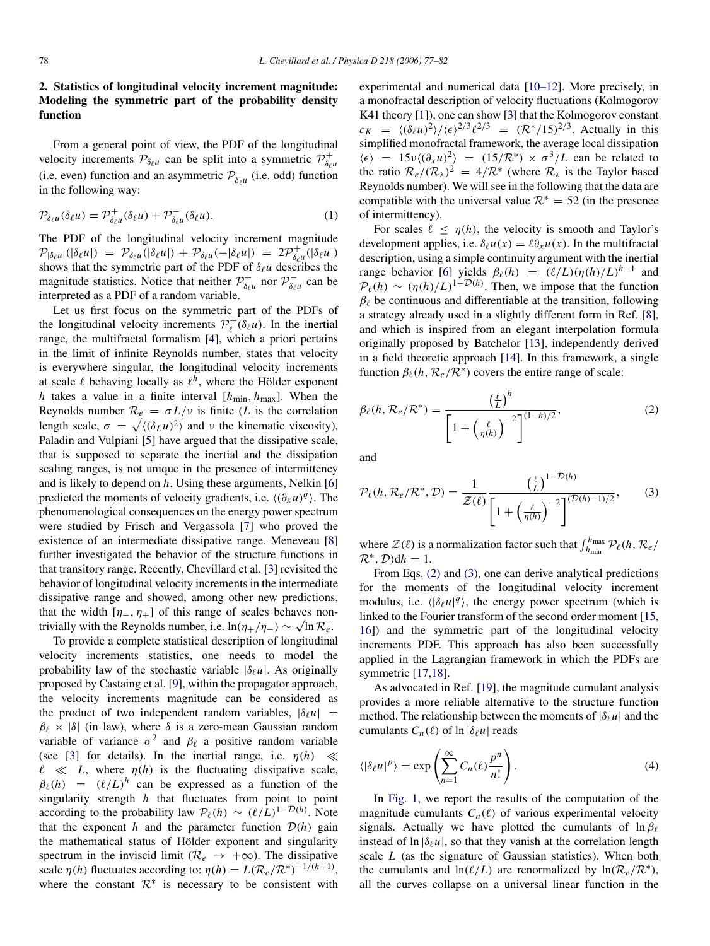# 2. Statistics of longitudinal velocity increment magnitude: Modeling the symmetric part of the probability density function

From a general point of view, the PDF of the longitudinal velocity increments  $\mathcal{P}_{\delta_\ell u}$  can be split into a symmetric  $\mathcal{P}_{\delta_\ell}^+$  $\delta_\ell u$ (i.e. even) function and an asymmetric  $\mathcal{P}_{\delta}^ \delta_{\ell}$ <sup>-</sup> (i.e. odd) function in the following way:

$$
\mathcal{P}_{\delta_{\ell}u}(\delta_{\ell}u) = \mathcal{P}_{\delta_{\ell}u}^{+}(\delta_{\ell}u) + \mathcal{P}_{\delta_{\ell}u}^{-}(\delta_{\ell}u). \tag{1}
$$

The PDF of the longitudinal velocity increment magnitude  $\mathcal{P}_{|\delta_\ell u|}(|\delta_\ell u|) = \mathcal{P}_{\delta_\ell u}(|\delta_\ell u|) + \mathcal{P}_{\delta_\ell u}(-|\delta_\ell u|) = 2\mathcal{P}_{\delta_\ell}^+$  $\delta_{\ell}^{\dagger}(\vert \delta_{\ell} u \vert)$ shows that the symmetric part of the PDF of  $\delta_\ell u$  describes the magnitude statistics. Notice that neither  $\mathcal{P}_{\delta}^+$  $\delta_{\ell}^{\dagger}$  nor  $\mathcal{P}^-_{\delta_{\ell}}$  $\delta_{\ell}$ <sup>-</sup> can be interpreted as a PDF of a random variable.

Let us first focus on the symmetric part of the PDFs of the longitudinal velocity increments  $\mathcal{P}_\ell^+$  $\iota_{\ell}^{+}(\delta_{\ell} u)$ . In the inertial range, the multifractal formalism [\[4\]](#page-5-3), which a priori pertains in the limit of infinite Reynolds number, states that velocity is everywhere singular, the longitudinal velocity increments at scale  $\ell$  behaving locally as  $\ell^h$ , where the Hölder exponent *h* takes a value in a finite interval  $[h_{\min}, h_{\max}]$ . When the Reynolds number  $\mathcal{R}_e = \sigma L/v$  is finite (*L* is the correlation length scale,  $\sigma = \sqrt{\langle (\delta_L u)^2 \rangle}$  and v the kinematic viscosity), Paladin and Vulpiani [\[5\]](#page-5-4) have argued that the dissipative scale, that is supposed to separate the inertial and the dissipation scaling ranges, is not unique in the presence of intermittency and is likely to depend on *h*. Using these arguments, Nelkin [\[6\]](#page-5-5) predicted the moments of velocity gradients, i.e.  $\langle (\partial_x u)^q \rangle$ . The phenomenological consequences on the energy power spectrum were studied by Frisch and Vergassola [\[7\]](#page-5-6) who proved the existence of an intermediate dissipative range. Meneveau [\[8\]](#page-5-7) further investigated the behavior of the structure functions in that transitory range. Recently, Chevillard et al. [\[3\]](#page-5-2) revisited the behavior of longitudinal velocity increments in the intermediate dissipative range and showed, among other new predictions, that the width  $[\eta_-, \eta_+]$  of this range of scales behaves nontrivially with the Reynolds number, i.e.  $\ln(\eta_+/\eta_-) \sim \sqrt{\ln \mathcal{R}_e}$ .

To provide a complete statistical description of longitudinal velocity increments statistics, one needs to model the probability law of the stochastic variable  $|\delta_\ell u|$ . As originally proposed by Castaing et al. [\[9\]](#page-5-8), within the propagator approach, the velocity increments magnitude can be considered as the product of two independent random variables,  $|\delta_\ell u|$  =  $\beta_{\ell} \times |\delta|$  (in law), where  $\delta$  is a zero-mean Gaussian random variable of variance  $\sigma^2$  and  $\beta_\ell$  a positive random variable (see [\[3\]](#page-5-2) for details). In the inertial range, i.e.  $\eta(h) \ll$  $\ell \ll L$ , where  $\eta(h)$  is the fluctuating dissipative scale,  $\beta_{\ell}(h) = (\ell/L)^h$  can be expressed as a function of the singularity strength *h* that fluctuates from point to point according to the probability law  $\mathcal{P}_{\ell}(h) \sim (\ell/L)^{1-\mathcal{D}(h)}$ . Note that the exponent *h* and the parameter function  $D(h)$  gain the mathematical status of Hölder exponent and singularity spectrum in the inviscid limit ( $\mathcal{R}_e \rightarrow +\infty$ ). The dissipative scale  $\eta(h)$  fluctuates according to:  $\eta(h) = L(\mathcal{R}_e/\mathcal{R}^*)^{-1/(h+1)}$ , where the constant  $\mathcal{R}^*$  is necessary to be consistent with

experimental and numerical data [\[10–12\]](#page-5-9). More precisely, in a monofractal description of velocity fluctuations (Kolmogorov K41 theory [\[1\]](#page-5-0)), one can show [\[3\]](#page-5-2) that the Kolmogorov constant  $c_K = \langle (\delta_\ell u)^2 \rangle / \langle \epsilon \rangle^{2/3} \ell^{2/3} = (\mathcal{R}^*/15)^{2/3}$ . Actually in this simplified monofractal framework, the average local dissipation  $\langle \epsilon \rangle$  = 15ν $\langle (\partial_x u)^2 \rangle$  = (15/ $\mathcal{R}^*$ ) ×  $\sigma^3/L$  can be related to the ratio  $\mathcal{R}_e/(\mathcal{R}_\lambda)^2 = 4/\mathcal{R}^*$  (where  $\mathcal{R}_\lambda$  is the Taylor based Reynolds number). We will see in the following that the data are compatible with the universal value  $\mathcal{R}^* = 52$  (in the presence of intermittency).

For scales  $\ell \leq \eta(h)$ , the velocity is smooth and Taylor's development applies, i.e.  $\delta_\ell u(x) = \ell \partial_x u(x)$ . In the multifractal description, using a simple continuity argument with the inertial range behavior [\[6\]](#page-5-5) yields  $\beta_{\ell}(h) = (\ell/L)(\eta(h)/L)^{h-1}$  and  $P_{\ell}(h) \sim (\eta(h)/L)^{1-\mathcal{D}(h)}$ . Then, we impose that the function  $\beta_{\ell}$  be continuous and differentiable at the transition, following a strategy already used in a slightly different form in Ref. [\[8\]](#page-5-7), and which is inspired from an elegant interpolation formula originally proposed by Batchelor [\[13\]](#page-5-10), independently derived in a field theoretic approach [\[14\]](#page-5-11). In this framework, a single function  $\beta_{\ell}(h, \mathcal{R}_e/\mathcal{R}^*)$  covers the entire range of scale:

<span id="page-1-0"></span>
$$
\beta_{\ell}(h, \mathcal{R}_{e}/\mathcal{R}^{*}) = \frac{\left(\frac{\ell}{L}\right)^{h}}{\left[1 + \left(\frac{\ell}{\eta(h)}\right)^{-2}\right]^{(1-h)/2}},
$$
\n(2)

and

<span id="page-1-1"></span>
$$
\mathcal{P}_{\ell}(h, \mathcal{R}_{e}/\mathcal{R}^{*}, \mathcal{D}) = \frac{1}{\mathcal{Z}(\ell)} \frac{\left(\frac{\ell}{L}\right)^{1-\mathcal{D}(h)}}{\left[1 + \left(\frac{\ell}{\eta(h)}\right)^{-2}\right]^{(\mathcal{D}(h)-1)/2}},\tag{3}
$$

where  $\mathcal{Z}(\ell)$  is a normalization factor such that  $\int_{h_{\text{min}}}^{h_{\text{max}}} \mathcal{P}_{\ell}(h, \mathcal{R}_{e})$  $\mathcal{R}^*, \mathcal{D}$ )dh = 1.

From Eqs. [\(2\)](#page-1-0) and [\(3\),](#page-1-1) one can derive analytical predictions for the moments of the longitudinal velocity increment modulus, i.e.  $\langle |\delta_\ell u|^q \rangle$ , the energy power spectrum (which is linked to the Fourier transform of the second order moment [\[15,](#page-5-12) [16\]](#page-5-13)) and the symmetric part of the longitudinal velocity increments PDF. This approach has also been successfully applied in the Lagrangian framework in which the PDFs are symmetric [\[17,](#page-5-14)[18\]](#page-5-15).

As advocated in Ref. [\[19\]](#page-5-16), the magnitude cumulant analysis provides a more reliable alternative to the structure function method. The relationship between the moments of  $|\delta_\ell u|$  and the cumulants  $C_n(\ell)$  of  $\ln |\delta_\ell u|$  reads

<span id="page-1-2"></span>
$$
\langle |\delta_{\ell} u|^p \rangle = \exp\left(\sum_{n=1}^{\infty} C_n(\ell) \frac{p^n}{n!}\right).
$$
 (4)

In [Fig. 1,](#page-2-0) we report the results of the computation of the magnitude cumulants  $C_n(\ell)$  of various experimental velocity signals. Actually we have plotted the cumulants of  $\ln \beta_{\ell}$ instead of  $\ln |\delta_\ell u|$ , so that they vanish at the correlation length scale *L* (as the signature of Gaussian statistics). When both the cumulants and  $ln(\ell/L)$  are renormalized by  $ln(\mathcal{R}_e/\mathcal{R}^*)$ , all the curves collapse on a universal linear function in the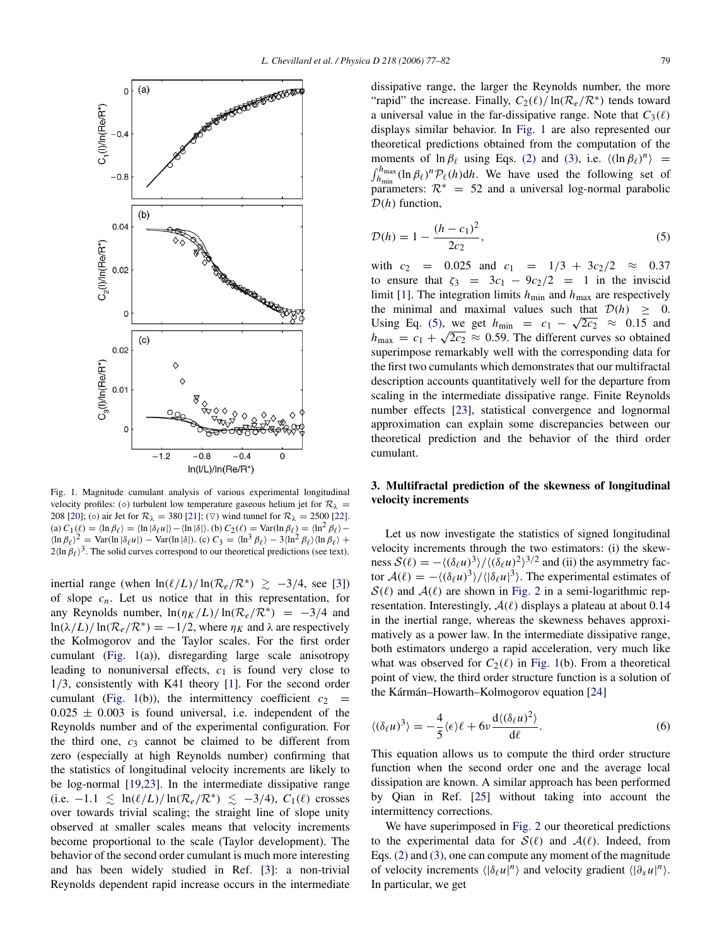<span id="page-2-0"></span>

Fig. 1. Magnitude cumulant analysis of various experimental longitudinal velocity profiles: ( $\diamond$ ) turbulent low temperature gaseous helium jet for  $\mathcal{R}_{\lambda}$  = 208 [\[20\]](#page-5-17); (⊙) air Jet for  $\mathcal{R}_{\lambda} = 380$  [\[21\]](#page-5-18); (∇) wind tunnel for  $\mathcal{R}_{\lambda} = 2500$  [\[22\]](#page-5-19). (a)  $C_1(\ell) = \langle \ln \beta_\ell \rangle = \langle \ln |\delta_\ell u| \rangle - \langle \ln |\delta| \rangle$ . (b)  $C_2(\ell) = \text{Var}(\ln \beta_\ell) = \langle \ln^2 \beta_\ell \rangle \langle \ln \beta_\ell \rangle^2$  = Var(ln |δ<sub>ℓ</sub>*u*|) – Var(ln |δ|). (c)  $C_3 = \langle \ln^3 \beta_\ell \rangle - 3 \langle \ln^2 \beta_\ell \rangle \langle \ln \beta_\ell \rangle +$  $2\ln \beta_\ell$ <sup>3</sup>. The solid curves correspond to our theoretical predictions (see text).

inertial range (when  $ln(\ell/L)/ ln(R_e/R^*) \ge -3/4$ , see [\[3\]](#page-5-2)) of slope  $c_n$ . Let us notice that in this representation, for any Reynolds number,  $\ln(\eta_K/L)/\ln(\mathcal{R}_e/\mathcal{R}^*) = -3/4$  and  $\ln(\lambda/L)/\ln(\mathcal{R}_e/\mathcal{R}^*) = -1/2$ , where  $\eta_K$  and  $\lambda$  are respectively the Kolmogorov and the Taylor scales. For the first order cumulant [\(Fig. 1\(](#page-2-0)a)), disregarding large scale anisotropy leading to nonuniversal effects,  $c_1$  is found very close to 1/3, consistently with K41 theory [\[1\]](#page-5-0). For the second order cumulant [\(Fig. 1\(](#page-2-0)b)), the intermittency coefficient  $c_2$  =  $0.025 \pm 0.003$  is found universal, i.e. independent of the Reynolds number and of the experimental configuration. For the third one, *c*<sup>3</sup> cannot be claimed to be different from zero (especially at high Reynolds number) confirming that the statistics of longitudinal velocity increments are likely to be log-normal [\[19](#page-5-16)[,23\]](#page-5-20). In the intermediate dissipative range  $(i.e. -1.1 \leq \ln(\ell/L)/\ln(\mathcal{R}_e/\mathcal{R}^*) \leq -3/4$ ,  $C_1(\ell)$  crosses over towards trivial scaling; the straight line of slope unity observed at smaller scales means that velocity increments become proportional to the scale (Taylor development). The behavior of the second order cumulant is much more interesting and has been widely studied in Ref. [\[3\]](#page-5-2): a non-trivial Reynolds dependent rapid increase occurs in the intermediate dissipative range, the larger the Reynolds number, the more "rapid" the increase. Finally,  $C_2(\ell)/\ln(\mathcal{R}_e/\mathcal{R}^*)$  tends toward a universal value in the far-dissipative range. Note that  $C_3(\ell)$ displays similar behavior. In [Fig. 1](#page-2-0) are also represented our theoretical predictions obtained from the computation of the moments of  $\ln \beta_\ell$  using Eqs. [\(2\)](#page-1-0) and [\(3\),](#page-1-1) i.e.  $\langle (\ln \beta_\ell)^n \rangle$  =  $\int_{h_{\text{min}}}^{h_{\text{max}}} (\ln \beta_\ell)^n \mathcal{P}_\ell(h) dh$ . We have used the following set of parameters:  $\mathcal{R}^* = 52$  and a universal log-normal parabolic D(*h*) function,

<span id="page-2-1"></span>
$$
\mathcal{D}(h) = 1 - \frac{(h - c_1)^2}{2c_2},\tag{5}
$$

with  $c_2 = 0.025$  and  $c_1 = 1/3 + 3c_2/2 \approx 0.37$ to ensure that  $\zeta_3 = 3c_1 - 9c_2/2 = 1$  in the inviscid limit [\[1\]](#page-5-0). The integration limits  $h_{\text{min}}$  and  $h_{\text{max}}$  are respectively the minimal and maximal values such that  $\mathcal{D}(h) \geq 0$ . Using Eq. [\(5\),](#page-2-1) we get  $h_{\text{min}} = c_1 - \sqrt{2c_2} \approx 0.15$  and  $h_{\text{max}} = c_1 + \sqrt{2c_2} \approx 0.59$ . The different curves so obtained superimpose remarkably well with the corresponding data for the first two cumulants which demonstrates that our multifractal description accounts quantitatively well for the departure from scaling in the intermediate dissipative range. Finite Reynolds number effects [\[23\]](#page-5-20), statistical convergence and lognormal approximation can explain some discrepancies between our theoretical prediction and the behavior of the third order cumulant.

# 3. Multifractal prediction of the skewness of longitudinal velocity increments

Let us now investigate the statistics of signed longitudinal velocity increments through the two estimators: (i) the skewness  $S(\ell) = -\langle (\delta_\ell u)^3 \rangle / \langle (\delta_\ell u)^2 \rangle^{3/2}$  and (ii) the asymmetry factor  $A(\ell) = -\langle (\delta_\ell u)^3 \rangle / \langle |\delta_\ell u|^3 \rangle$ . The experimental estimates of  $S(\ell)$  and  $A(\ell)$  are shown in [Fig. 2](#page-3-0) in a semi-logarithmic representation. Interestingly,  $A(\ell)$  displays a plateau at about 0.14 in the inertial range, whereas the skewness behaves approximatively as a power law. In the intermediate dissipative range, both estimators undergo a rapid acceleration, very much like what was observed for  $C_2(\ell)$  in [Fig. 1\(](#page-2-0)b). From a theoretical point of view, the third order structure function is a solution of the Kármán–Howarth–Kolmogorov equation [[24\]](#page-5-21)

<span id="page-2-2"></span>
$$
\langle (\delta_{\ell} u)^3 \rangle = -\frac{4}{5} \langle \epsilon \rangle \ell + 6\nu \frac{d \langle (\delta_{\ell} u)^2 \rangle}{d \ell}.
$$
 (6)

This equation allows us to compute the third order structure function when the second order one and the average local dissipation are known. A similar approach has been performed by Qian in Ref. [\[25\]](#page-5-22) without taking into account the intermittency corrections.

We have superimposed in [Fig. 2](#page-3-0) our theoretical predictions to the experimental data for  $S(\ell)$  and  $A(\ell)$ . Indeed, from Eqs. [\(2\)](#page-1-0) and [\(3\),](#page-1-1) one can compute any moment of the magnitude of velocity increments  $\langle |\delta_\ell u|^n \rangle$  and velocity gradient  $\langle |\partial_x u|^n \rangle$ . In particular, we get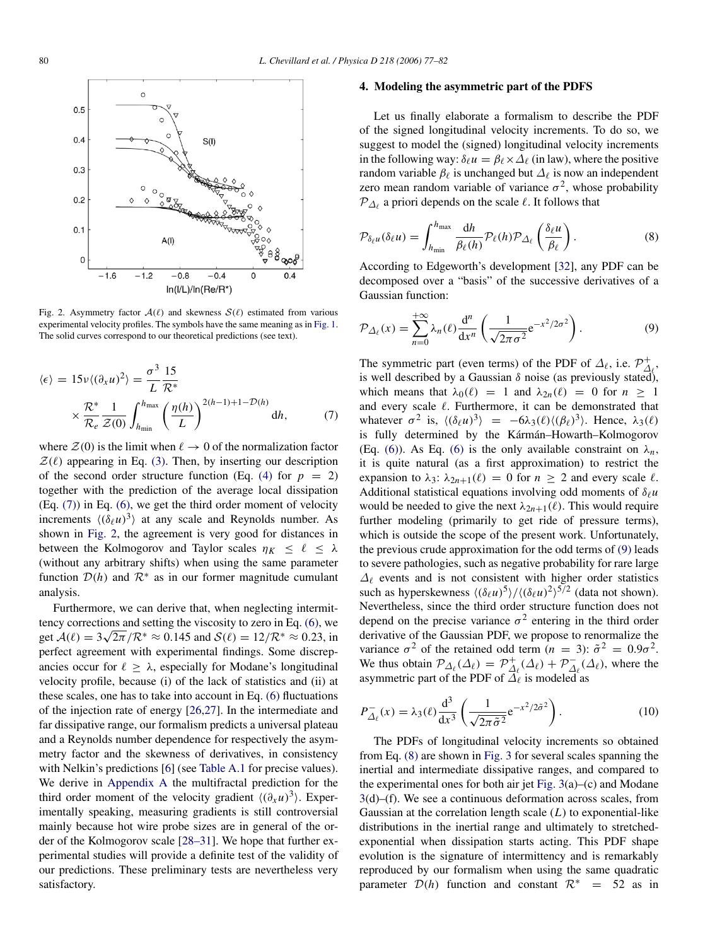<span id="page-3-0"></span>

Fig. 2. Asymmetry factor  $A(\ell)$  and skewness  $S(\ell)$  estimated from various experimental velocity profiles. The symbols have the same meaning as in [Fig. 1.](#page-2-0) The solid curves correspond to our theoretical predictions (see text).

$$
\langle \epsilon \rangle = 15 \nu \langle (\partial_x u)^2 \rangle = \frac{\sigma^3}{L} \frac{15}{\mathcal{R}^*}
$$

$$
\times \frac{\mathcal{R}^*}{\mathcal{R}_e} \frac{1}{\mathcal{Z}(0)} \int_{h_{\text{min}}}^{h_{\text{max}}} \left( \frac{\eta(h)}{L} \right)^{2(h-1)+1-\mathcal{D}(h)} dh, \tag{7}
$$

where  $\mathcal{Z}(0)$  is the limit when  $\ell \to 0$  of the normalization factor  $\mathcal{Z}(\ell)$  appearing in Eq. [\(3\).](#page-1-1) Then, by inserting our description of the second order structure function (Eq. [\(4\)](#page-1-2) for  $p = 2$ ) together with the prediction of the average local dissipation (Eq. [\(7\)\)](#page-3-1) in Eq. [\(6\),](#page-2-2) we get the third order moment of velocity increments  $\langle (\delta_\ell u)^3 \rangle$  at any scale and Reynolds number. As shown in [Fig. 2,](#page-3-0) the agreement is very good for distances in between the Kolmogorov and Taylor scales  $\eta_K \leq \ell \leq \lambda$ (without any arbitrary shifts) when using the same parameter function  $\mathcal{D}(h)$  and  $\mathcal{R}^*$  as in our former magnitude cumulant analysis.

Furthermore, we can derive that, when neglecting intermittency corrections and setting the viscosity to zero in Eq.  $(6)$ , we get  $\mathcal{A}(\ell) = 3\sqrt{2\pi}/\mathcal{R}^* \approx 0.145$  and  $\mathcal{S}(\ell) = 12/\mathcal{R}^* \approx 0.23$ , in perfect agreement with experimental findings. Some discrepancies occur for  $\ell \geq \lambda$ , especially for Modane's longitudinal velocity profile, because (i) of the lack of statistics and (ii) at these scales, one has to take into account in Eq. [\(6\)](#page-2-2) fluctuations of the injection rate of energy [\[26,](#page-5-23)[27\]](#page-5-24). In the intermediate and far dissipative range, our formalism predicts a universal plateau and a Reynolds number dependence for respectively the asymmetry factor and the skewness of derivatives, in consistency with Nelkin's predictions [\[6\]](#page-5-5) (see [Table A.1](#page-5-25) for precise values). We derive in [Appendix A](#page-4-0) the multifractal prediction for the third order moment of the velocity gradient  $\langle (\partial_x u)^3 \rangle$ . Experimentally speaking, measuring gradients is still controversial mainly because hot wire probe sizes are in general of the order of the Kolmogorov scale [\[28–31\]](#page-5-26). We hope that further experimental studies will provide a definite test of the validity of our predictions. These preliminary tests are nevertheless very satisfactory.

#### 4. Modeling the asymmetric part of the PDFS

Let us finally elaborate a formalism to describe the PDF of the signed longitudinal velocity increments. To do so, we suggest to model the (signed) longitudinal velocity increments in the following way:  $\delta_\ell u = \beta_\ell \times \Delta_\ell$  (in law), where the positive random variable  $\beta_\ell$  is unchanged but  $\Delta_\ell$  is now an independent zero mean random variable of variance  $\sigma^2$ , whose probability  $\mathcal{P}_{\Delta_{\ell}}$  a priori depends on the scale  $\ell$ . It follows that

<span id="page-3-3"></span>
$$
\mathcal{P}_{\delta_{\ell}u}(\delta_{\ell}u) = \int_{h_{\min}}^{h_{\max}} \frac{\mathrm{d}h}{\beta_{\ell}(h)} \mathcal{P}_{\ell}(h) \mathcal{P}_{\Delta_{\ell}}\left(\frac{\delta_{\ell}u}{\beta_{\ell}}\right). \tag{8}
$$

According to Edgeworth's development [\[32\]](#page-5-27), any PDF can be decomposed over a "basis" of the successive derivatives of a Gaussian function:

<span id="page-3-2"></span>
$$
\mathcal{P}_{\Delta_{\ell}}(x) = \sum_{n=0}^{+\infty} \lambda_n(\ell) \frac{d^n}{dx^n} \left( \frac{1}{\sqrt{2\pi\sigma^2}} e^{-x^2/2\sigma^2} \right).
$$
 (9)

<span id="page-3-1"></span>The symmetric part (even terms) of the PDF of  $\Delta_{\ell}$ , i.e.  $\mathcal{P}_{\Delta}^{+}$  $\stackrel{+}{\Delta}_{\!\ell}$  , is well described by a Gaussian  $\delta$  noise (as previously stated), which means that  $\lambda_0(\ell) = 1$  and  $\lambda_{2n}(\ell) = 0$  for  $n \ge 1$ and every scale  $\ell$ . Furthermore, it can be demonstrated that whatever  $\sigma^2$  is,  $\langle (\delta_\ell u)^3 \rangle = -6\lambda_3(\ell) \langle (\beta_\ell)^3 \rangle$ . Hence,  $\lambda_3(\ell)$ is fully determined by the Kármán–Howarth–Kolmogorov (Eq. [\(6\)\)](#page-2-2). As Eq. [\(6\)](#page-2-2) is the only available constraint on  $\lambda_n$ , it is quite natural (as a first approximation) to restrict the expansion to  $\lambda_3$ :  $\lambda_{2n+1}(\ell) = 0$  for  $n \geq 2$  and every scale  $\ell$ . Additional statistical equations involving odd moments of  $\delta_\ell u$ would be needed to give the next  $\lambda_{2n+1}(\ell)$ . This would require further modeling (primarily to get ride of pressure terms), which is outside the scope of the present work. Unfortunately, the previous crude approximation for the odd terms of [\(9\)](#page-3-2) leads to severe pathologies, such as negative probability for rare large  $\Delta_{\ell}$  events and is not consistent with higher order statistics such as hyperskewness  $\langle (\delta_\ell u)^5 \rangle / \langle (\delta_\ell u)^2 \rangle^{5/2}$  (data not shown). Nevertheless, since the third order structure function does not depend on the precise variance  $\sigma^2$  entering in the third order derivative of the Gaussian PDF, we propose to renormalize the variance  $\sigma^2$  of the retained odd term  $(n = 3)$ :  $\tilde{\sigma}^2 = 0.9\sigma^2$ . We thus obtain  $\mathcal{P}_{\Delta_{\ell}}(\Delta_{\ell}) = \mathcal{P}_{\Delta}^{+}$  $\mathcal{D}_{\mathcal{A}_{\ell}}^{+}(\mathcal{A}_{\ell}) + \mathcal{P}_{\mathcal{A}_{\ell}}^{-}$  $\sum_{\ell=1}^{\infty} (\Delta_{\ell})$ , where the asymmetric part of the PDF of  $\Delta_{\ell}$  is modeled as

$$
P_{\Delta_{\ell}}^{-}(x) = \lambda_3(\ell) \frac{\mathrm{d}^3}{\mathrm{d}x^3} \left( \frac{1}{\sqrt{2\pi\tilde{\sigma}^2}} e^{-x^2/2\tilde{\sigma}^2} \right). \tag{10}
$$

The PDFs of longitudinal velocity increments so obtained from Eq. [\(8\)](#page-3-3) are shown in [Fig. 3](#page-4-1) for several scales spanning the inertial and intermediate dissipative ranges, and compared to the experimental ones for both air jet Fig.  $3(a)$ –(c) and Modane [3\(](#page-4-1)d)–(f). We see a continuous deformation across scales, from Gaussian at the correlation length scale (*L*) to exponential-like distributions in the inertial range and ultimately to stretchedexponential when dissipation starts acting. This PDF shape evolution is the signature of intermittency and is remarkably reproduced by our formalism when using the same quadratic parameter  $\mathcal{D}(h)$  function and constant  $\mathcal{R}^*$  = 52 as in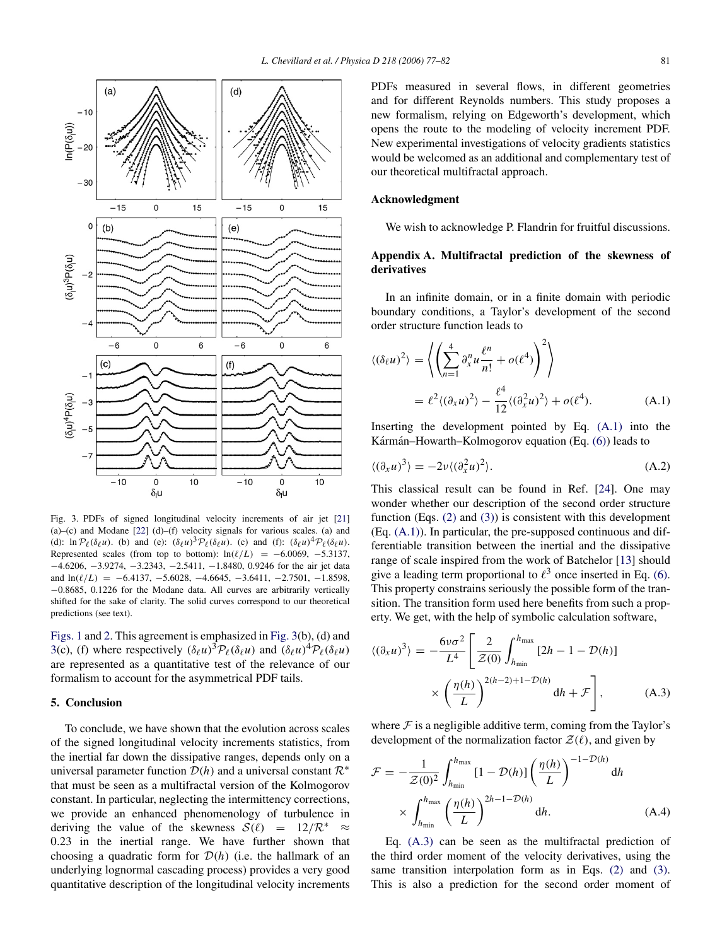<span id="page-4-1"></span>

Fig. 3. PDFs of signed longitudinal velocity increments of air jet [\[21\]](#page-5-18)  $(a)$ – $(c)$  and Modane  $[22]$   $(d)$ – $(f)$  velocity signals for various scales.  $(a)$  and (d):  $\ln \mathcal{P}_{\ell}(\delta_{\ell} u)$ . (b) and (e):  $(\delta_{\ell} u)^3 \mathcal{P}_{\ell}(\delta_{\ell} u)$ . (c) and (f):  $(\delta_{\ell} u)^4 \mathcal{P}_{\ell}(\delta_{\ell} u)$ . Represented scales (from top to bottom):  $ln(\ell/L) = -6.0069, -5.3137,$ −4.6206, −3.9274, −3.2343, −2.5411, −1.8480, 0.9246 for the air jet data and  $ln(\ell/L) = -6.4137, -5.6028, -4.6645, -3.6411, -2.7501, -1.8598,$ −0.8685, 0.1226 for the Modane data. All curves are arbitrarily vertically shifted for the sake of clarity. The solid curves correspond to our theoretical predictions (see text).

[Figs. 1](#page-2-0) and [2.](#page-3-0) This agreement is emphasized in [Fig. 3\(](#page-4-1)b), (d) and [3\(](#page-4-1)c), (f) where respectively  $(\delta_\ell u)^3 \mathcal{P}_\ell(\delta_\ell u)$  and  $(\delta_\ell u)^4 \mathcal{P}_\ell(\delta_\ell u)$ are represented as a quantitative test of the relevance of our formalism to account for the asymmetrical PDF tails.

## 5. Conclusion

To conclude, we have shown that the evolution across scales of the signed longitudinal velocity increments statistics, from the inertial far down the dissipative ranges, depends only on a universal parameter function  $\mathcal{D}(h)$  and a universal constant  $\mathcal{R}^*$ that must be seen as a multifractal version of the Kolmogorov constant. In particular, neglecting the intermittency corrections, we provide an enhanced phenomenology of turbulence in deriving the value of the skewness  $S(\ell) = 12/R^* \approx$ 0.23 in the inertial range. We have further shown that choosing a quadratic form for  $\mathcal{D}(h)$  (i.e. the hallmark of an underlying lognormal cascading process) provides a very good quantitative description of the longitudinal velocity increments PDFs measured in several flows, in different geometries and for different Reynolds numbers. This study proposes a new formalism, relying on Edgeworth's development, which opens the route to the modeling of velocity increment PDF. New experimental investigations of velocity gradients statistics would be welcomed as an additional and complementary test of our theoretical multifractal approach.

## Acknowledgment

<span id="page-4-0"></span>We wish to acknowledge P. Flandrin for fruitful discussions.

# Appendix A. Multifractal prediction of the skewness of derivatives

In an infinite domain, or in a finite domain with periodic boundary conditions, a Taylor's development of the second order structure function leads to

<span id="page-4-2"></span>
$$
\langle (\delta_{\ell} u)^2 \rangle = \left\langle \left( \sum_{n=1}^4 \partial_x^n u \frac{\ell^n}{n!} + o(\ell^4) \right)^2 \right\rangle
$$
  
=  $\ell^2 \langle (\partial_x u)^2 \rangle - \frac{\ell^4}{12} \langle (\partial_x^2 u)^2 \rangle + o(\ell^4).$  (A.1)

Inserting the development pointed by Eq. [\(A.1\)](#page-4-2) into the Kármán–Howarth–Kolmogorov equation (Eq.  $(6)$ ) leads to

<span id="page-4-4"></span>
$$
\langle (\partial_x u)^3 \rangle = -2\nu \langle (\partial_x^2 u)^2 \rangle.
$$
 (A.2)

This classical result can be found in Ref. [\[24\]](#page-5-21). One may wonder whether our description of the second order structure function (Eqs. [\(2\)](#page-1-0) and [\(3\)\)](#page-1-1) is consistent with this development (Eq. [\(A.1\)\)](#page-4-2). In particular, the pre-supposed continuous and differentiable transition between the inertial and the dissipative range of scale inspired from the work of Batchelor [\[13\]](#page-5-10) should give a leading term proportional to  $\ell^3$  once inserted in Eq. [\(6\).](#page-2-2) This property constrains seriously the possible form of the transition. The transition form used here benefits from such a property. We get, with the help of symbolic calculation software,

<span id="page-4-3"></span>
$$
\langle (\partial_x u)^3 \rangle = -\frac{6\nu\sigma^2}{L^4} \left[ \frac{2}{\mathcal{Z}(0)} \int_{h_{\text{min}}}^{h_{\text{max}}} [2h - 1 - \mathcal{D}(h)] \times \left( \frac{\eta(h)}{L} \right)^{2(h-2)+1-\mathcal{D}(h)} dh + \mathcal{F} \right],
$$
 (A.3)

where  $\mathcal F$  is a negligible additive term, coming from the Taylor's development of the normalization factor  $\mathcal{Z}(\ell)$ , and given by

$$
\mathcal{F} = -\frac{1}{\mathcal{Z}(0)^2} \int_{h_{\text{min}}}^{h_{\text{max}}} [1 - \mathcal{D}(h)] \left(\frac{\eta(h)}{L}\right)^{-1 - \mathcal{D}(h)} dh
$$
  
 
$$
\times \int_{h_{\text{min}}}^{h_{\text{max}}} \left(\frac{\eta(h)}{L}\right)^{2h - 1 - \mathcal{D}(h)} dh.
$$
 (A.4)

Eq. [\(A.3\)](#page-4-3) can be seen as the multifractal prediction of the third order moment of the velocity derivatives, using the same transition interpolation form as in Eqs. [\(2\)](#page-1-0) and [\(3\).](#page-1-1) This is also a prediction for the second order moment of